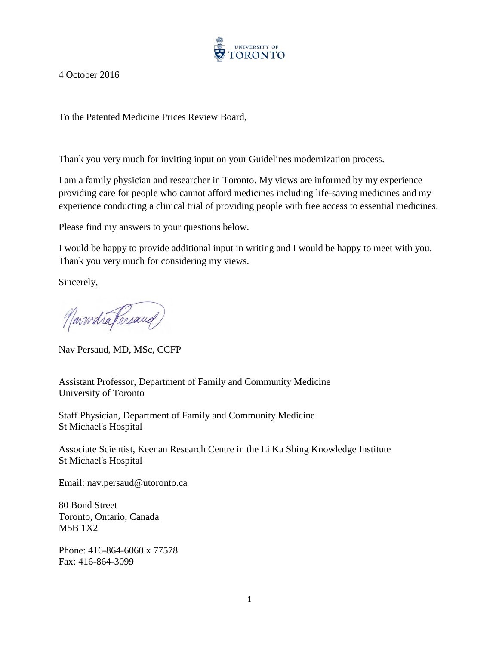

4 October 2016

To the Patented Medicine Prices Review Board,

Thank you very much for inviting input on your Guidelines modernization process.

I am a family physician and researcher in Toronto. My views are informed by my experience providing care for people who cannot afford medicines including life-saving medicines and my experience conducting a clinical trial of providing people with free access to essential medicines.

Please find my answers to your questions below.

I would be happy to provide additional input in writing and I would be happy to meet with you. Thank you very much for considering my views.

Sincerely,

Navindra Fersand

Nav Persaud, MD, MSc, CCFP

Assistant Professor, Department of Family and Community Medicine University of Toronto

Staff Physician, Department of Family and Community Medicine St Michael's Hospital

Associate Scientist, Keenan Research Centre in the Li Ka Shing Knowledge Institute St Michael's Hospital

Email: nav.persaud@utoronto.ca

80 Bond Street Toronto, Ontario, Canada M5B 1X2

Phone: 416-864-6060 x 77578 Fax: 416-864-3099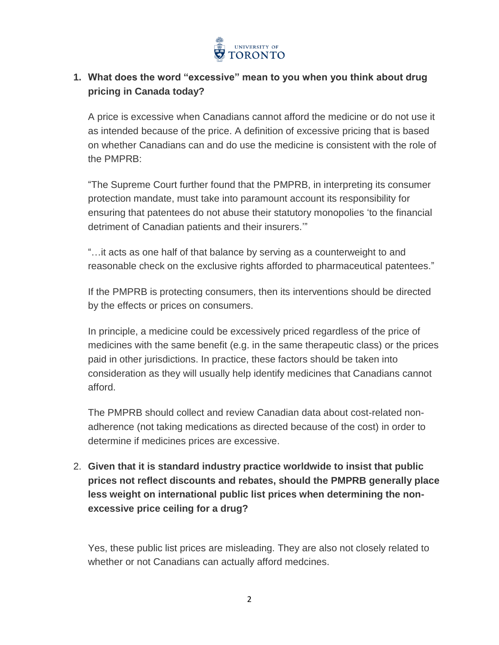

## **1. What does the word "excessive" mean to you when you think about drug pricing in Canada today?**

A price is excessive when Canadians cannot afford the medicine or do not use it as intended because of the price. A definition of excessive pricing that is based on whether Canadians can and do use the medicine is consistent with the role of the PMPRB:

"The Supreme Court further found that the PMPRB, in interpreting its consumer protection mandate, must take into paramount account its responsibility for ensuring that patentees do not abuse their statutory monopolies 'to the financial detriment of Canadian patients and their insurers.'"

"…it acts as one half of that balance by serving as a counterweight to and reasonable check on the exclusive rights afforded to pharmaceutical patentees."

If the PMPRB is protecting consumers, then its interventions should be directed by the effects or prices on consumers.

In principle, a medicine could be excessively priced regardless of the price of medicines with the same benefit (e.g. in the same therapeutic class) or the prices paid in other jurisdictions. In practice, these factors should be taken into consideration as they will usually help identify medicines that Canadians cannot afford.

The PMPRB should collect and review Canadian data about cost-related nonadherence (not taking medications as directed because of the cost) in order to determine if medicines prices are excessive.

2. **Given that it is standard industry practice worldwide to insist that public prices not reflect discounts and rebates, should the PMPRB generally place less weight on international public list prices when determining the nonexcessive price ceiling for a drug?**

Yes, these public list prices are misleading. They are also not closely related to whether or not Canadians can actually afford medcines.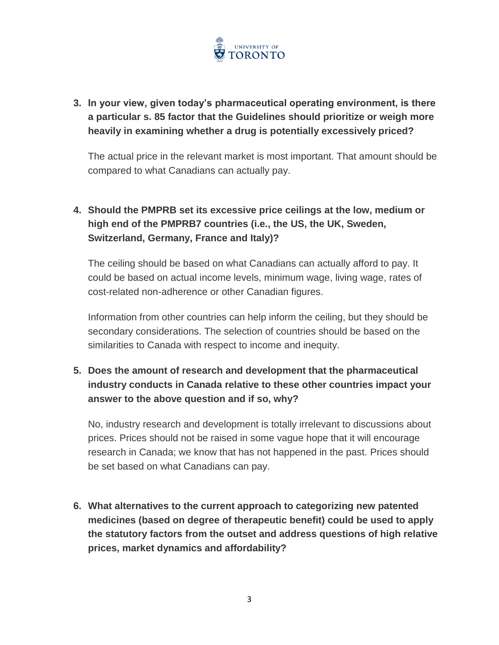

# **3. In your view, given today's pharmaceutical operating environment, is there a particular s. 85 factor that the Guidelines should prioritize or weigh more heavily in examining whether a drug is potentially excessively priced?**

The actual price in the relevant market is most important. That amount should be compared to what Canadians can actually pay.

# **4. Should the PMPRB set its excessive price ceilings at the low, medium or high end of the PMPRB7 countries (i.e., the US, the UK, Sweden, Switzerland, Germany, France and Italy)?**

The ceiling should be based on what Canadians can actually afford to pay. It could be based on actual income levels, minimum wage, living wage, rates of cost-related non-adherence or other Canadian figures.

Information from other countries can help inform the ceiling, but they should be secondary considerations. The selection of countries should be based on the similarities to Canada with respect to income and inequity.

## **5. Does the amount of research and development that the pharmaceutical industry conducts in Canada relative to these other countries impact your answer to the above question and if so, why?**

No, industry research and development is totally irrelevant to discussions about prices. Prices should not be raised in some vague hope that it will encourage research in Canada; we know that has not happened in the past. Prices should be set based on what Canadians can pay.

**6. What alternatives to the current approach to categorizing new patented medicines (based on degree of therapeutic benefit) could be used to apply the statutory factors from the outset and address questions of high relative prices, market dynamics and affordability?**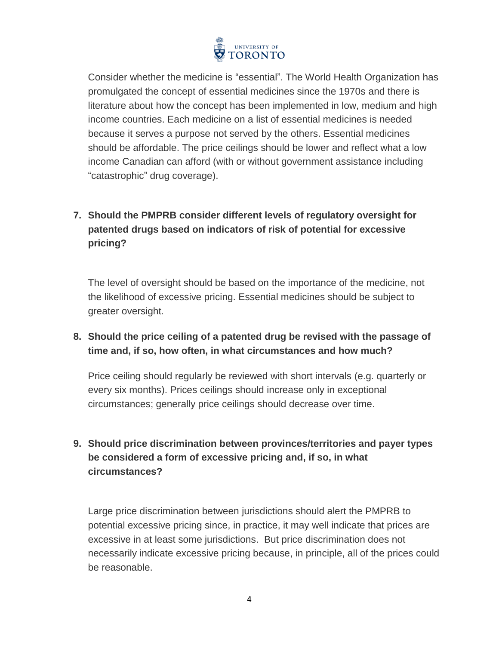

Consider whether the medicine is "essential". The World Health Organization has promulgated the concept of essential medicines since the 1970s and there is literature about how the concept has been implemented in low, medium and high income countries. Each medicine on a list of essential medicines is needed because it serves a purpose not served by the others. Essential medicines should be affordable. The price ceilings should be lower and reflect what a low income Canadian can afford (with or without government assistance including "catastrophic" drug coverage).

# **7. Should the PMPRB consider different levels of regulatory oversight for patented drugs based on indicators of risk of potential for excessive pricing?**

The level of oversight should be based on the importance of the medicine, not the likelihood of excessive pricing. Essential medicines should be subject to greater oversight.

#### **8. Should the price ceiling of a patented drug be revised with the passage of time and, if so, how often, in what circumstances and how much?**

Price ceiling should regularly be reviewed with short intervals (e.g. quarterly or every six months). Prices ceilings should increase only in exceptional circumstances; generally price ceilings should decrease over time.

## **9. Should price discrimination between provinces/territories and payer types be considered a form of excessive pricing and, if so, in what circumstances?**

Large price discrimination between jurisdictions should alert the PMPRB to potential excessive pricing since, in practice, it may well indicate that prices are excessive in at least some jurisdictions. But price discrimination does not necessarily indicate excessive pricing because, in principle, all of the prices could be reasonable.